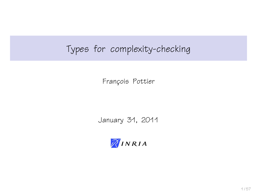# Types for complexity-checking

François Pottier

January 31, 2011

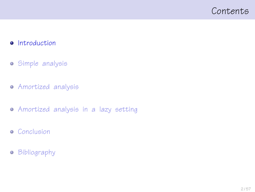## <span id="page-1-0"></span>Contents

#### **•** [Introduction](#page-1-0)

- [Simple analysis](#page-9-0)
- [Amortized analysis](#page-19-0)
- [Amortized analysis in a lazy setting](#page-31-0)
- **•** [Conclusion](#page-51-0)
- **•** [Bibliography](#page-54-0)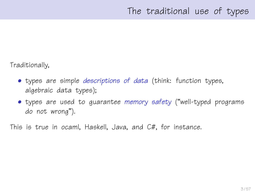Traditionally,

- types are simple *descriptions of data* (think: function types, algebraic data types);
- types are used to guarantee memory safety ("well-typed programs do not wrong").

This is true in ocaml, Haskell, Java, and C#, for instance.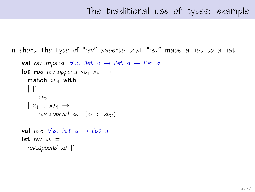# The traditional use of types: example

In short, the type of "rev" asserts that "rev" maps a list to a list.

```
val rev append: \forall a. list a \rightarrow list a \rightarrow list a
let rec rev-append x_{51} x_{52} =
   match x_{51} with
   | \n\begin{bmatrix} 1 \end{bmatrix} \rightarrowXS<sub>2</sub>
   | x_1 :: x_{5_1} \rightarrowrev append x_{51} (x_1 :: x_{52})val rev: \forall a. list a \rightarrow list alet. rev x6 =rev append xs []
```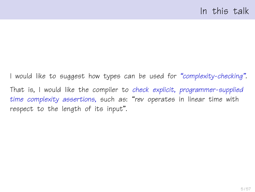I would like to suggest how types can be used for "complexity-checking". That is, I would like the compiler to check explicit, programmer-supplied time complexity assertions, such as: "rev operates in linear time with respect to the length of its input".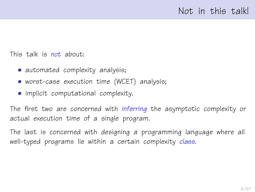This talk is not about:

- automated complexity analysis;
- worst-case execution time (WCET) analysis;
- implicit computational complexity.

The first two are concerned with inferring the asymptotic complexity or actual execution time of a single program.

The last is concerned with designing a programming language where all well-typed programs lie within a certain complexity class.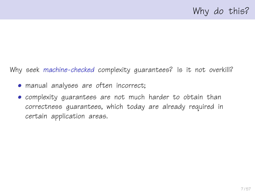Why seek machine-checked complexity quarantees? Is it not overkill?

- manual analyses are often incorrect;
- complexity guarantees are not much harder to obtain than correctness guarantees, which today are already required in certain application areas.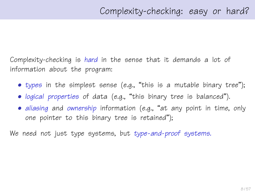Complexity-checking is hard in the sense that it demands a lot of information about the program:

- types in the simplest sense (e.g., "this is a mutable binary tree");
- logical properties of data (e.g., "this binary tree is balanced").
- aliasing and ownership information (e.g., "at any point in time, only one pointer to this binary tree is retained");

We need not just type systems, but type-and-proof systems.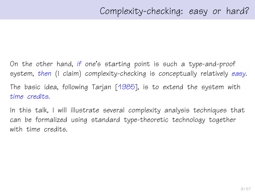On the other hand, if one's starting point is such a type-and-proof system, then (I claim) complexity-checking is conceptually relatively easy. The basic idea, following Tarjan [\[1985\]](#page-56-0), is to extend the system with time credits.

In this talk, I will illustrate several complexity analysis techniques that can be formalized using standard type-theoretic technology together with time credits.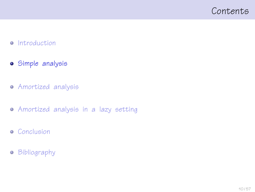## <span id="page-9-0"></span>Contents

#### • [Introduction](#page-1-0)

- [Simple analysis](#page-9-0)
- [Amortized analysis](#page-19-0)
- [Amortized analysis in a lazy setting](#page-31-0)
- **•** [Conclusion](#page-51-0)
- **•** [Bibliography](#page-54-0)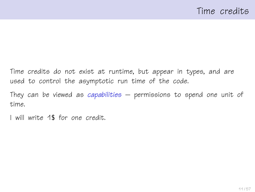Time credits do not exist at runtime, but appear in types, and are used to control the asymptotic run time of the code.

They can be viewed as capabilities  $-$  permissions to spend one unit of time.

I will write 1\$ for one credit.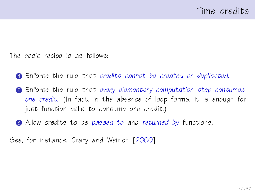The basic recipe is as follows:

- <span id="page-11-0"></span>**1** Enforce the rule that credits cannot be created or duplicated.
- **2** Enforce the rule that every elementary computation step consumes one credit. (In fact, in the absence of loop forms, it is enough for just function calls to consume one credit.)
- **3** Allow credits to be passed to and returned by functions.

See, for instance, Crary and Weirich [\[2000\]](#page-55-0).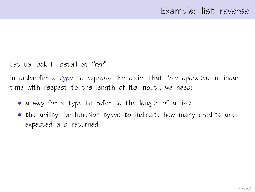Let us look in detail at "rev".

In order for a type to express the claim that "rev operates in linear time with respect to the length of its input", we need:

- a way for a type to refer to the length of a list;
- the ability for function types to indicate how many credits are expected and returned.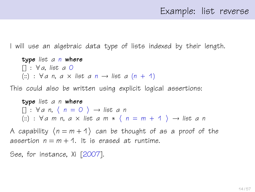I will use an algebraic data type of lists indexed by their length.

type list a n where  $[1: \forall a, \text{ list } a \text{ } 0]$ (::) :  $\forall a \, n, a \times \text{list } a \, n \rightarrow \text{list } a \, (n + 1)$ 

This could also be written using explicit logical assertions:

type list a n where  $[1: \forall a \; n, \; \langle \; n = 0 \; \rangle \rightarrow$  list a n (::) :  $\forall a \text{ m } n, a \times \text{list } a \text{ m } * \langle n = m + 1 \rangle \rightarrow \text{list } a \text{ n }$ 

A capability  $(n = m + 1)$  can be thought of as a proof of the assertion  $n = m + 1$ . It is erased at runtime.

See, for instance, Xi [\[2007\]](#page-56-1).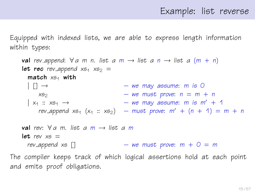Equipped with indexed lists, we are able to express length information within types:

```
val rev append: \forall a \text{ m } n. list a \text{ m } \rightarrow list a \text{ n } \rightarrow list a \text{ (m + n)}let rec rev_append x_{51} x_{52} =
        match x_{54} with
         | | \rangle \rightarrow | | \rangle \rightarrow | | \rightarrow | \rightarrow | \rightarrow | \rightarrow | \rightarrow | \rightarrow | \rightarrow | \rightarrow | \rightarrow | \rightarrow | \rightarrow | \rightarrow | \rightarrow | \rightarrow | \rightarrow | \rightarrow | \rightarrow | \rightarrow | \rightarrow | \rightarrow x_{52} – we must prove: n = m + n\vert x_1 : x_{5} \rightarrow – we may assume: m is m' + 1
              rev_append xs_1 (x_1 :: xs_2) – must prove: m' + (n + 1) = m + nval rev: \forall a m. list a m \rightarrow list a m
      let rev x_5 =rev\text{subpend } x \in [ – we must prove: m + 0 = mThe compiler keeps track of which logical assertions hold at each point
and emits proof obligations.
```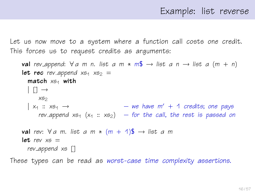Let us now move to a system where a function call costs one credit. This forces us to request credits as arguments:

val rev append:  $\forall a$  m n. list a m  $*$  m\$  $\rightarrow$  list a n  $\rightarrow$  list a (m + n) let rec rev append  $x_{51}$   $x_{52}$  =  $match \times 54$  with  $|$  [1  $\rightarrow$  $X52$  $\vert x_1 : x_{5_1} \rightarrow \vert x_2 \vert - \vert w e \vert$  have  $m' + 1$  credits; one pays rev append  $x_{51}$  ( $x_1 :: x_{52}$ ) – for the call, the rest is passed on **val** rev:  $\forall a$  m. list a m  $*$  (m + 1)\$  $\rightarrow$  list a m let rev  $x5 =$ rev append xs []

These types can be read as worst-case time complexity assertions.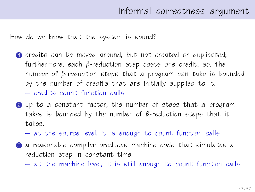How do we know that the system is sound?

- **1** credits can be moved around, but not created or duplicated; furthermore, each β-reduction step costs one credit; so, the number of β-reduction steps that a program can take is bounded by the number of credits that are initially supplied to it. – credits count function calls
- **2** up to a constant factor, the number of steps that a program takes is bounded by the number of β-reduction steps that it takes.
	- at the source level, it is enough to count function calls
- **3** a reasonable compiler produces machine code that simulates a reduction step in constant time.
	- at the machine level, it is still enough to count function calls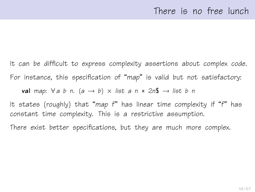It can be difficult to express complexity assertions about complex code. For instance, this specification of "map" is valid but not satisfactory:

**val** map:  $\forall a \ b \ n$ .  $(a \rightarrow b) \times$  list a  $n \times 2n\$  → list b n

It states (roughly) that "map f" has linear time complexity if "f" has constant time complexity. This is a restrictive assumption.

There exist better specifications, but they are much more complex.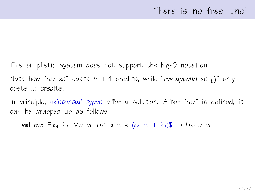This simplistic system does not support the big-O notation. Note how "rev xs" costs  $m + 1$  credits, while "rev\_append xs  $\lceil \rceil$ " only costs m credits.

In principle, existential types offer a solution. After "rev" is defined, it can be wrapped up as follows:

**val** rev:  $\exists k_1 \; k_2$ .  $\forall a \; m$ . list a m \*  $(k_1 \; m + k_2)$ \$  $\rightarrow$  list a m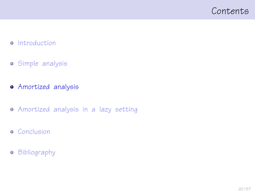## <span id="page-19-0"></span>Contents

#### • [Introduction](#page-1-0)

- [Simple analysis](#page-9-0)
- [Amortized analysis](#page-19-0)
- [Amortized analysis in a lazy setting](#page-31-0)
- **•** [Conclusion](#page-51-0)
- **•** [Bibliography](#page-54-0)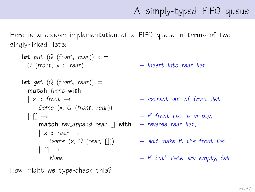# A simply-typed FIFO queue

Here is a classic implementation of a FIFO queue in terms of two singly-linked lists:

```
let put (Q (front, rear)) x =Q (front, x :: rear) – insert into rear list
let get (Q (front, rear)) =
  match front with
  \vert x :: front \rightarrow \qquad \qquad - extract out of front list
     Some (x, Q (front, rear))
  \begin{array}{ccc} \vert & \vert \vert & \to & \end{array} \qquad \qquad - if front list is empty,
      match rev append rear \begin{bmatrix} 1 \\ 1 \end{bmatrix} with – reverse rear list,
      | x :: rear \rightarrowSome (x, Q \text{ (rear, } [1])) - and make it the front list
       [1 \rightarrowNone - if both lists are empty, fail
```
How might we type-check this?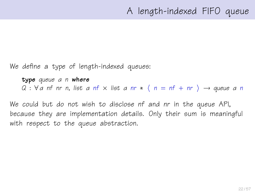We define a type of length-indexed queues:

type queue a n where  $Q : \forall a$  nf nr n, list a nf x list a nr \*  $\langle n = nf + nr \rangle \rightarrow$  queue a n

We could but do not wish to disclose nf and nr in the queue API, because they are implementation details. Only their sum is meaningful with respect to the queue abstraction.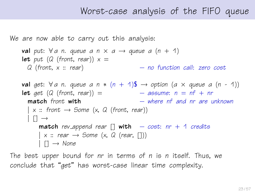## Worst-case analysis of the FIFO queue

We are now able to carry out this analysis:

```
val put: \forall a n. queue a n \times a \rightarrow queue a (n + 1)
let put (Q (front, rear)) x =Q (front, x :: rear) – no function call: zero cost
val get: \forall a n. queue a n * (n + 1)$ \rightarrow option (a \times queue a (n - 1))
let get (Q \text{ (front, rear)}) = - assume: n = nf + nrmatch front with - where nf and nr are unknown
  \vert x : front \rightarrow Some (x, Q (front, rear))
  | \rceil \rightarrowmatch rev append rear [] with - cost: nr + 1 credits
      \vert x :: \text{rear} \rightarrow \text{Some} \ (x, \ Q \ (\text{rear}, \ [1]))| \Box \rightarrow None
```
The best upper bound for nr in terms of n is n itself. Thus, we conclude that "get" has worst-case linear time complexity.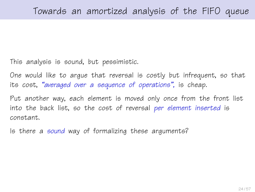This analysis is sound, but pessimistic.

One would like to argue that reversal is costly but infrequent, so that its cost, "averaged over a sequence of operations", is cheap.

Put another way, each element is moved only once from the front list into the back list, so the cost of reversal per element inserted is constant.

Is there a sound way of formalizing these arguments?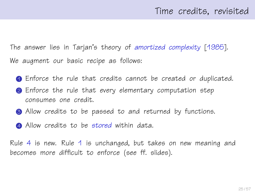The answer lies in Tarjan's theory of amortized complexity [\[1985\]](#page-56-0). We augment our basic recipe as follows:

- 1 Enforce the rule that credits cannot be created or duplicated.
- 2 Enforce the rule that every elementary computation step consumes one credit.
- **3** Allow credits to be passed to and returned by functions.
- <span id="page-24-0"></span>**4** Allow credits to be stored within data.

Rule [4](#page-24-0) is new. Rule [1](#page-11-0) is unchanged, but takes on new meaning and becomes more difficult to enforce (see ff. slides).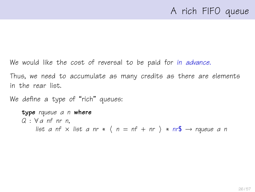# A rich FIFO queue

We would like the cost of reversal to be paid for in advance.

Thus, we need to accumulate as many credits as there are elements in the rear list.

We define a type of "rich" queues:

```
type rqueue a n where
Q : \forall a nf nr n,
     list a nf x list a nr * \langle n = nf + nr \rangle * nr\ → rqueue a n
```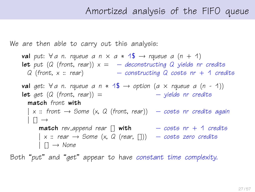## Amortized analysis of the FIFO queue

We are then able to carry out this analysis:

val put:  $\forall a$  n. rqueue a n  $\times$  a  $*$  1\$  $\rightarrow$  rqueue a (n + 1) **let** put (Q (front, rear))  $x = -$  deconstructing Q yields nr credits  $Q$  (front,  $x :: rear$ ) – constructing  $Q$  costs nr  $+$  1 credits val get:  $\forall a$  n. rqueue a n  $*$  1\$  $\rightarrow$  option (a  $\times$  rqueue a (n - 1)) **let** get  $(Q \text{ (front, rear)}) =$  – yields nr credits match front with  $\mid$  x :: front  $\rightarrow$  Some (x, Q (front, rear))  $\quad$  - costs nr credits again  $| \n\begin{bmatrix} 1 \end{bmatrix}$   $\rightarrow$ **match** rev\_append rear  $\begin{bmatrix} 1 & \text{with} \\ 1 & \text{if} \\ 0 & \text{if} \end{bmatrix}$  + 1 credits  $\vert$  x :: rear  $\rightarrow$  Some (x, Q (rear, [1])  $\quad$  - costs zero credits  $|$   $\Box \rightarrow$  None

Both "put" and "get" appear to have constant time complexity.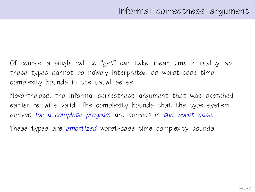Of course, a single call to "get" can take linear time in reality, so these types cannot be naïvely interpreted as worst-case time complexity bounds in the usual sense.

Nevertheless, the informal correctness argument that was sketched earlier remains valid. The complexity bounds that the type system derives for a complete program are correct in the worst case.

These types are amortized worst-case time complexity bounds.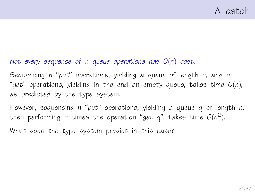#### Not every sequence of n queue operations has  $O(n)$  cost.

Sequencing n "put" operations, yielding a queue of length n, and n "get" operations, yielding in the end an empty queue, takes time  $O(n)$ , as predicted by the type system.

However, sequencing n "put" operations, yielding a queue q of length n, then performing n times the operation "get q", takes time  $O(n^2)$ .

What does the type system predict in this case?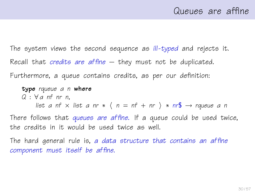The system views the second sequence as ill-typed and rejects it. Recall that *credits are affine*  $-$  they must not be duplicated. Furthermore, a queue contains credits, as per our definition:

type rqueue a n where  $Q : \forall a$  nf nr n, list a nf  $\times$  list a nr  $\ast$   $\langle n = n f + n r \rangle \ast nr$   $\rightarrow$  rqueue a n There follows that queues are affine. If a queue could be used twice, the credits in it would be used twice as well.

The hard general rule is, a data structure that contains an affine component must itself be affine.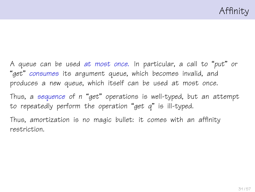A queue can be used at most once. In particular, a call to "put" or "get" consumes its argument queue, which becomes invalid, and produces a new queue, which itself can be used at most once.

Thus, a sequence of n "get" operations is well-typed, but an attempt to repeatedly perform the operation "get  $q$ " is ill-typed.

Thus, amortization is no magic bullet: it comes with an affinity restriction.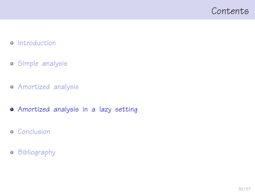## <span id="page-31-0"></span>Contents

#### • [Introduction](#page-1-0)

- [Simple analysis](#page-9-0)
- [Amortized analysis](#page-19-0)
- [Amortized analysis in a lazy setting](#page-31-0)
- **•** [Conclusion](#page-51-0)
- **•** [Bibliography](#page-54-0)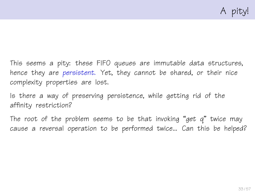This seems a pity: these FIFO queues are immutable data structures, hence they are persistent. Yet, they cannot be shared, or their nice complexity properties are lost.

Is there a way of preserving persistence, while getting rid of the affinity restriction?

The root of the problem seems to be that invoking "get  $q$ " twice may cause a reversal operation to be performed twice... Can this be helped?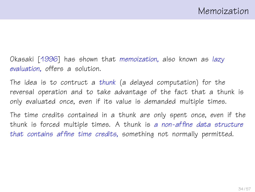Okasaki [\[1996\]](#page-55-1) has shown that memoization, also known as lazy evaluation, offers a solution.

The idea is to contruct a thunk (a delayed computation) for the reversal operation and to take advantage of the fact that a thunk is only evaluated once, even if its value is demanded multiple times.

The time credits contained in a thunk are only spent once, even if the thunk is forced multiple times. A thunk is a non-affine data structure that contains affine time credits, something not normally permitted.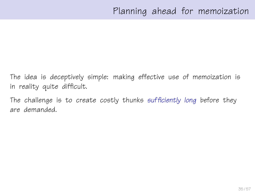The idea is deceptively simple: making effective use of memoization is in reality quite difficult.

The challenge is to create costly thunks sufficiently long before they are demanded.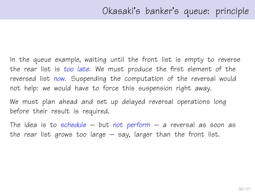In the queue example, waiting until the front list is empty to reverse the rear list is too late. We must produce the first element of the reversed list now. Suspending the computation of the reversal would not help: we would have to force this suspension right away.

We must plan ahead and set up delayed reversal operations long before their result is required.

The idea is to schedule  $-$  but not perform  $-$  a reversal as soon as the rear list grows too large  $-$  say, larger than the front list.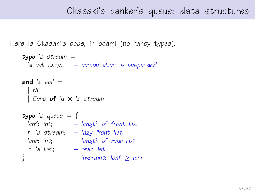## Okasaki's banker's queue: data structures

```
Here is Okasaki's code, in ocaml (no fancy types).
```

```
type 'a stream ='a cell Lazy.t – computation is suspended
and a cell =| Nil
 | Cons of 'a \times 'a stream
type 'a queue = {
 lenf: int; - length of front list
 f: 'a stream; - lazy front list
 lenr: int; - length of rear listr: 'a list; – rear list
} – invariant: lenf \geq lenr
```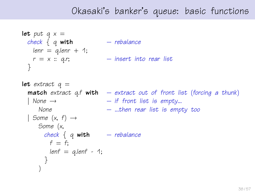# Okasaki's banker's queue: basic functions

```
let put q \times zcheck \{ q \text{ with } - \text{ rebalance} \}lenn = q.length + 1;r = x :: q.r; – insert into rear list
 }
let extract q =match extract q.f with - extract out of front list (forcing a thunk)
  \vert None \rightarrow \vert if front list is empty...
     None – ...then rear list is empty too
 | Some (x, f) \rightarrowSome (x,
       check \{ q \text{ with } - rebalance
        f = f:
        lenf = q.length - 1;}
     )
```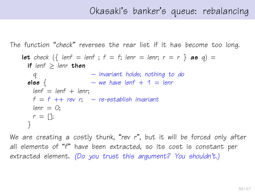```
The function "check" reverses the rear list if it has become too long.
    let check \left(\frac{1}{2} \text{ lenf} = \text{lenf} \right; f = f; lenr = lenr; r = r \} as q) =
      if lenf > lenr then
       q – invariant holds; nothing to do
      else \{ – we have lenf + 1 = lenr
       lenf = lenf + lenr:
       f = f ++ rev r; – re-establish invariant
       lenn = 0:
      r = \lceil \cdot \rceil;
      }
```
We are creating a costly thunk, "rev r", but it will be forced only after all elements of "f" have been extracted, so its cost is constant per extracted element. (Do you trust this argument? You shouldn't.)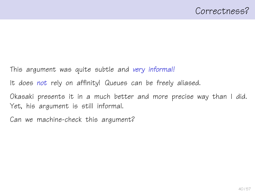This argument was quite subtle and very informal!

It does not rely on affinity! Queues can be freely aliased.

Okasaki presents it in a much better and more precise way than I did. Yet, his argument is still informal.

Can we machine-check this argument?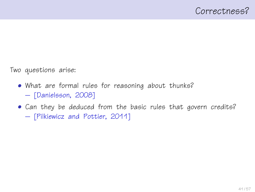Two questions arise:

- What are formal rules for reasoning about thunks? – [\[Danielsson, 2008\]](#page-55-2)
- Can they be deduced from the basic rules that govern credits? – [\[Pilkiewicz and Pottier, 2011\]](#page-56-2)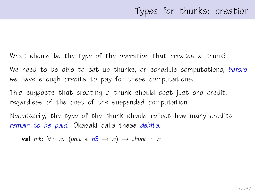What should be the type of the operation that creates a thunk?

We need to be able to set up thunks, or schedule computations, before we have enough credits to pay for these computations.

This suggests that creating a thunk should cost just one credit, regardless of the cost of the suspended computation.

Necessarily, the type of the thunk should reflect how many credits remain to be paid. Okasaki calls these debits.

val mk:  $\forall n$  a. (unit \*  $n\mathbb{S} \rightarrow a$ )  $\rightarrow$  thunk n a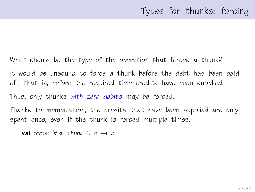What should be the type of the operation that forces a thunk? It would be unsound to force a thunk before the debt has been paid off, that is, before the required time credits have been supplied. Thus, only thunks with zero debits may be forced. Thanks to memoization, the credits that have been supplied are only

spent once, even if the thunk is forced multiple times.

val force:  $\forall a$ , thunk  $0$   $a \rightarrow a$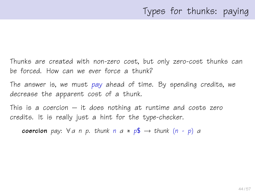Thunks are created with non-zero cost, but only zero-cost thunks can be forced. How can we ever force a thunk?

The answer is, we must pay ahead of time. By spending credits, we decrease the apparent cost of a thunk.

This is a coercion  $-$  it does nothing at runtime and costs zero credits. It is really just a hint for the type-checker.

**coercion** pay:  $\forall a \in p$ . thunk  $n \in \mathbb{R}$   $\rightarrow$  thunk  $(n - p)$  a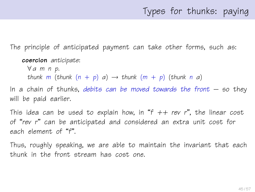# Types for thunks: paying

The principle of anticipated payment can take other forms, such as:

```
coercion anticipate:
```

```
∀ α m n p.
thunk m (thunk (n + p) a) \rightarrow thunk (m + p) (thunk n a)
```
In a chain of thunks, debits can be moved towards the front  $-$  so they will be paid earlier.

This idea can be used to explain how, in "f  $++$  rev r", the linear cost of "rev r" can be anticipated and considered an extra unit cost for each element of "f".

Thus, roughly speaking, we are able to maintain the invariant that each thunk in the front stream has cost one.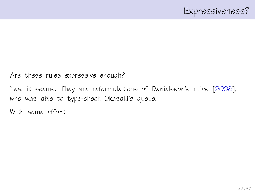Are these rules expressive enough?

Yes, it seems. They are reformulations of Danielsson's rules [\[2008\]](#page-55-2), who was able to type-check Okasaki's queue.

With some effort.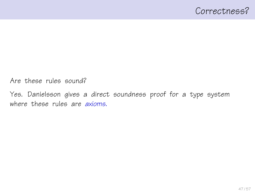Are these rules sound?

Yes. Danielsson gives a direct soundness proof for a type system where these rules are *axioms*.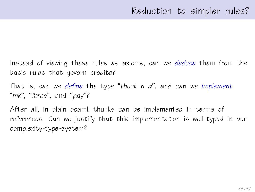Instead of viewing these rules as axioms, can we deduce them from the basic rules that govern credits?

That is, can we define the type "thunk  $n$   $a$ ", and can we implement "mk", "force", and "pay"?

After all, in plain ocaml, thunks can be implemented in terms of references. Can we justify that this implementation is well-typed in our complexity-type-system?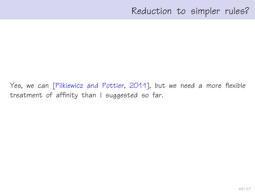Yes, we can [\[Pilkiewicz and Pottier, 2011\]](#page-56-2), but we need a more flexible treatment of affinity than I suggested so far.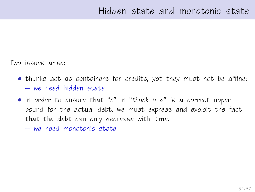Two issues arise:

- thunks act as containers for credits, yet they must not be affine; – we need hidden state
- in order to ensure that "n" in "thunk n α" is a correct upper bound for the actual debt, we must express and exploit the fact that the debt can only decrease with time.
	- we need monotonic state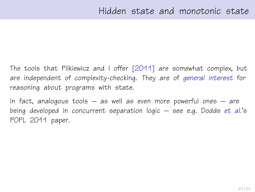The tools that Pilkiewicz and I offer [\[2011\]](#page-56-2) are somewhat complex, but are independent of complexity-checking. They are of general interest for reasoning about programs with state.

In fact, analogous tools  $-$  as well as even more powerful ones  $-$  are being developed in concurrent separation logic  $-$  see e.g. Dodds et al.'s POPL 2011 paper.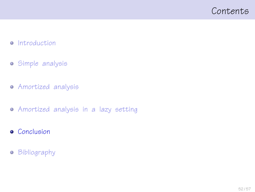## <span id="page-51-0"></span>Contents

#### • [Introduction](#page-1-0)

- [Simple analysis](#page-9-0)
- [Amortized analysis](#page-19-0)
- [Amortized analysis in a lazy setting](#page-31-0)
- **•** [Conclusion](#page-51-0)
- **•** [Bibliography](#page-54-0)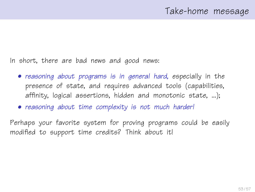In short, there are bad news and good news:

- reasoning about programs is in general hard, especially in the presence of state, and requires advanced tools (capabilities, affinity, logical assertions, hidden and monotonic state, ...);
- reasoning about time complexity is not much harder!

Perhaps your favorite system for proving programs could be easily modified to support time credits? Think about it!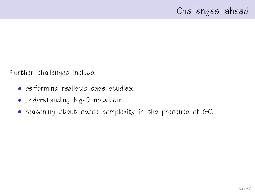Further challenges include:

- performing realistic case studies;
- understanding big-O notation;
- reasoning about space complexity in the presence of GC.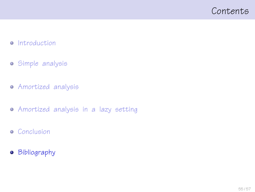## <span id="page-54-0"></span>Contents

#### • [Introduction](#page-1-0)

- [Simple analysis](#page-9-0)
- [Amortized analysis](#page-19-0)
- [Amortized analysis in a lazy setting](#page-31-0)
- **•** [Conclusion](#page-51-0)
- **•** [Bibliography](#page-54-0)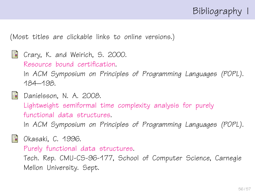

(Most titles are clickable links to online versions.)

<span id="page-55-0"></span>

```
Danielsson, N. A. 2008.
   Lightweight semiformal time complexity analysis for purely
   functional data structures.
   In ACM Symposium on Principles of Programming Languages (POPL).
```
<span id="page-55-1"></span>

**N** Okasaki, C. 1996.

[Purely functional data structures.](http://www.cs.cmu.edu/~rwh/theses/okasaki.pdf)

Tech. Rep. CMU-CS-96-177, School of Computer Science, Carnegie Mellon University. Sept.